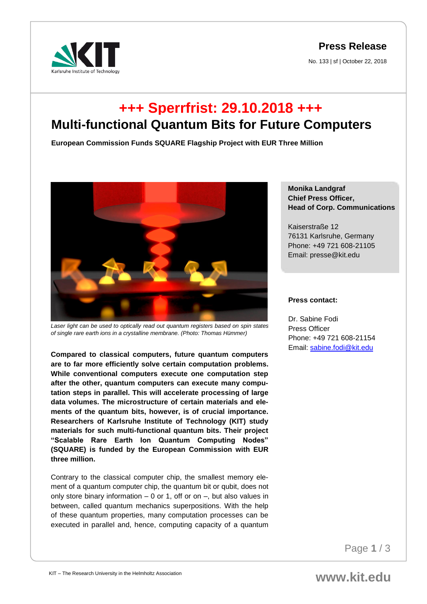**Press Release**

No. 133 | sf | October 22, 2018

# **+++ Sperrfrist: 29.10.2018 +++ Multi-functional Quantum Bits for Future Computers**

**European Commission Funds SQUARE Flagship Project with EUR Three Million** 



*Laser light can be used to optically read out quantum registers based on spin states of single rare earth ions in a crystalline membrane. (Photo: Thomas Hümmer)*

**Compared to classical computers, future quantum computers are to far more efficiently solve certain computation problems. While conventional computers execute one computation step after the other, quantum computers can execute many computation steps in parallel. This will accelerate processing of large data volumes. The microstructure of certain materials and elements of the quantum bits, however, is of crucial importance. Researchers of Karlsruhe Institute of Technology (KIT) study materials for such multi-functional quantum bits. Their project "Scalable Rare Earth Ion Quantum Computing Nodes" (SQUARE) is funded by the European Commission with EUR three million.** 

Contrary to the classical computer chip, the smallest memory element of a quantum computer chip, the quantum bit or qubit, does not only store binary information  $-0$  or 1, off or on  $-$ , but also values in between, called quantum mechanics superpositions. With the help of these quantum properties, many computation processes can be executed in parallel and, hence, computing capacity of a quantum

# **Monika Landgraf Chief Press Officer, Head of Corp. Communications**

Kaiserstraße 12 76131 Karlsruhe, Germany Phone: +49 721 608-21105 Email: presse@kit.edu

## **Press contact:**

Dr. Sabine Fodi Press Officer Phone: +49 721 608-21154 Email: [sabine.fodi@kit.edu](mailto:sabine.fodi@kit.edu)

Page **1** / 3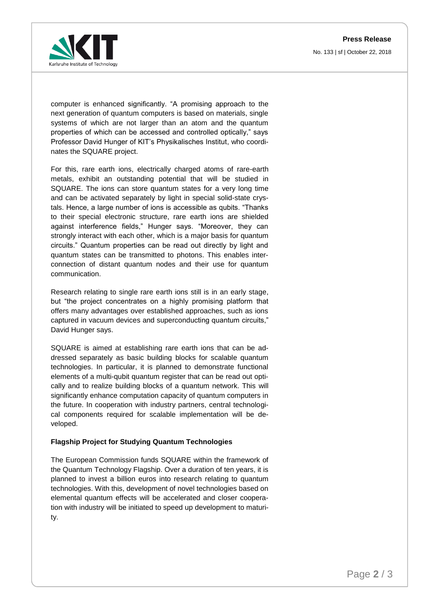**Press Release** No. 133 | sf | October 22, 2018



computer is enhanced significantly. "A promising approach to the next generation of quantum computers is based on materials, single systems of which are not larger than an atom and the quantum properties of which can be accessed and controlled optically," says Professor David Hunger of KIT's Physikalisches Institut, who coordinates the SQUARE project.

For this, rare earth ions, electrically charged atoms of rare-earth metals, exhibit an outstanding potential that will be studied in SQUARE. The ions can store quantum states for a very long time and can be activated separately by light in special solid-state crystals. Hence, a large number of ions is accessible as qubits. "Thanks to their special electronic structure, rare earth ions are shielded against interference fields," Hunger says. "Moreover, they can strongly interact with each other, which is a major basis for quantum circuits." Quantum properties can be read out directly by light and quantum states can be transmitted to photons. This enables interconnection of distant quantum nodes and their use for quantum communication.

Research relating to single rare earth ions still is in an early stage, but "the project concentrates on a highly promising platform that offers many advantages over established approaches, such as ions captured in vacuum devices and superconducting quantum circuits," David Hunger says.

SQUARE is aimed at establishing rare earth ions that can be addressed separately as basic building blocks for scalable quantum technologies. In particular, it is planned to demonstrate functional elements of a multi-qubit quantum register that can be read out optically and to realize building blocks of a quantum network. This will significantly enhance computation capacity of quantum computers in the future. In cooperation with industry partners, central technological components required for scalable implementation will be developed.

### **Flagship Project for Studying Quantum Technologies**

The European Commission funds SQUARE within the framework of the Quantum Technology Flagship. Over a duration of ten years, it is planned to invest a billion euros into research relating to quantum technologies. With this, development of novel technologies based on elemental quantum effects will be accelerated and closer cooperation with industry will be initiated to speed up development to maturity.